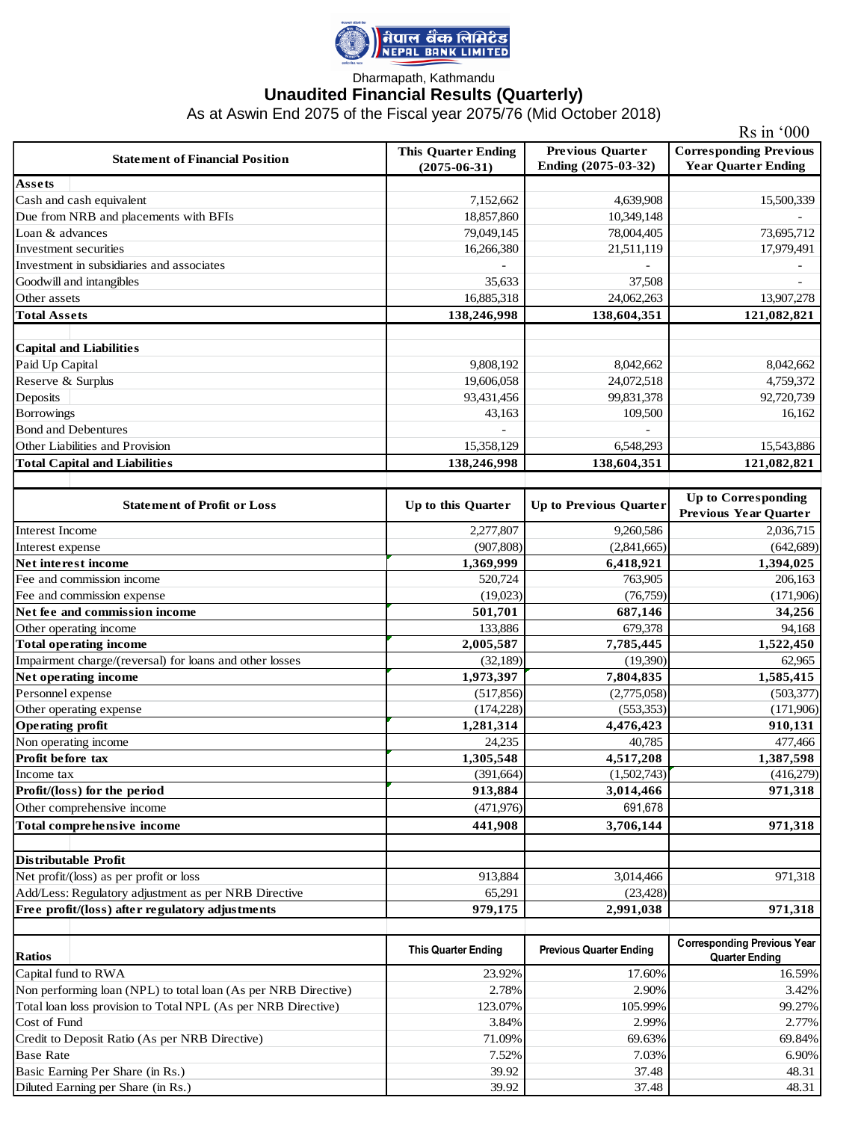

## Dharmapath, Kathmandu **Unaudited Financial Results (Quarterly)**

As at Aswin End 2075 of the Fiscal year 2075/76 (Mid October 2018)

|                                                                         | $\text{Rs in } 000$                              |                                                |                                                             |  |  |  |
|-------------------------------------------------------------------------|--------------------------------------------------|------------------------------------------------|-------------------------------------------------------------|--|--|--|
| <b>Statement of Financial Position</b>                                  | <b>This Quarter Ending</b><br>$(2075 - 06 - 31)$ | <b>Previous Quarter</b><br>Ending (2075-03-32) | <b>Corresponding Previous</b><br><b>Year Quarter Ending</b> |  |  |  |
| Assets                                                                  |                                                  |                                                |                                                             |  |  |  |
| Cash and cash equivalent                                                | 7,152,662                                        | 4,639,908                                      | 15,500,339                                                  |  |  |  |
| Due from NRB and placements with BFIs                                   | 18,857,860                                       | 10,349,148                                     |                                                             |  |  |  |
| Loan & advances                                                         | 79,049,145                                       | 78,004,405                                     | 73,695,712                                                  |  |  |  |
| Investment securities                                                   | 16,266,380                                       | 21,511,119                                     | 17,979,491                                                  |  |  |  |
| Investment in subsidiaries and associates                               |                                                  |                                                |                                                             |  |  |  |
| Goodwill and intangibles                                                | 35,633                                           | 37,508                                         |                                                             |  |  |  |
| Other assets                                                            | 16,885,318                                       | 24,062,263                                     | 13,907,278                                                  |  |  |  |
| <b>Total Assets</b>                                                     | 138,246,998                                      | 138,604,351                                    | 121,082,821                                                 |  |  |  |
|                                                                         |                                                  |                                                |                                                             |  |  |  |
| <b>Capital and Liabilities</b><br>Paid Up Capital                       |                                                  |                                                |                                                             |  |  |  |
|                                                                         | 9,808,192                                        | 8,042,662                                      | 8,042,662                                                   |  |  |  |
| Reserve & Surplus                                                       | 19,606,058                                       | 24,072,518                                     | 4,759,372                                                   |  |  |  |
| Deposits                                                                | 93,431,456                                       | 99,831,378                                     | 92,720,739                                                  |  |  |  |
| <b>Borrowings</b>                                                       | 43,163                                           | 109,500                                        | 16,162                                                      |  |  |  |
| <b>Bond and Debentures</b>                                              |                                                  |                                                |                                                             |  |  |  |
| Other Liabilities and Provision<br><b>Total Capital and Liabilities</b> | 15,358,129<br>138,246,998                        | 6,548,293<br>138,604,351                       | 15,543,886<br>121,082,821                                   |  |  |  |
|                                                                         |                                                  |                                                |                                                             |  |  |  |
| <b>Statement of Profit or Loss</b>                                      | Up to this Quarter                               | <b>Up to Previous Quarter</b>                  | <b>Up to Corresponding</b><br><b>Previous Year Quarter</b>  |  |  |  |
| Interest Income                                                         | 2,277,807                                        | 9,260,586                                      | 2,036,715                                                   |  |  |  |
| Interest expense                                                        | (907, 808)                                       | (2,841,665)                                    | (642, 689)                                                  |  |  |  |
| Net interest income                                                     | 1,369,999                                        | 6,418,921                                      | 1,394,025                                                   |  |  |  |
| Fee and commission income                                               | 520,724                                          | 763,905                                        | 206,163                                                     |  |  |  |
| Fee and commission expense                                              | (19,023)                                         | (76, 759)                                      | (171,906)                                                   |  |  |  |
| Net fee and commission income                                           | 501,701                                          | 687,146                                        | 34,256                                                      |  |  |  |
| Other operating income                                                  | 133,886                                          | 679,378                                        | 94,168                                                      |  |  |  |
| <b>Total operating income</b>                                           | 2,005,587                                        | 7,785,445                                      | 1,522,450                                                   |  |  |  |
| Impairment charge/(reversal) for loans and other losses                 | (32, 189)                                        | (19,390)                                       | 62,965                                                      |  |  |  |
| Net operating income                                                    | 1,973,397                                        | 7,804,835                                      | 1,585,415                                                   |  |  |  |
| Personnel expense                                                       | (517, 856)                                       | (2,775,058)                                    | (503, 377)                                                  |  |  |  |
| Other operating expense                                                 | (174, 228)                                       | (553, 353)                                     | (171,906)                                                   |  |  |  |
| <b>Operating profit</b>                                                 | 1,281,314                                        | 4,476,423                                      | 910,131                                                     |  |  |  |
| Non operating income                                                    | 24,235                                           | 40,785                                         | 477,466                                                     |  |  |  |
| Profit before tax                                                       | 1,305,548                                        | 4,517,208                                      | 1,387,598                                                   |  |  |  |
| Income tax                                                              | (391, 664)                                       | (1,502,743)                                    | (416,279)                                                   |  |  |  |
| Profit/(loss) for the period                                            | 913,884                                          | 3,014,466                                      | 971,318                                                     |  |  |  |
| Other comprehensive income                                              | (471, 976)                                       | 691,678                                        |                                                             |  |  |  |
| Total comprehensive income                                              | 441,908                                          | 3,706,144                                      | 971,318                                                     |  |  |  |
| <b>Distributable Profit</b>                                             |                                                  |                                                |                                                             |  |  |  |
| Net profit/(loss) as per profit or loss                                 | 913,884                                          | 3,014,466                                      | 971,318                                                     |  |  |  |
| Add/Less: Regulatory adjustment as per NRB Directive                    | 65,291                                           | (23, 428)                                      |                                                             |  |  |  |
| Free profit/(loss) after regulatory adjustments                         | 979,175                                          | 2,991,038                                      | 971,318                                                     |  |  |  |
|                                                                         |                                                  |                                                |                                                             |  |  |  |
| <b>Ratios</b>                                                           | <b>This Quarter Ending</b>                       | <b>Previous Quarter Ending</b>                 | <b>Corresponding Previous Year</b><br><b>Quarter Ending</b> |  |  |  |
| Capital fund to RWA                                                     | 23.92%                                           | 17.60%                                         | 16.59%                                                      |  |  |  |
| Non performing loan (NPL) to total loan (As per NRB Directive)          | 2.78%                                            | 2.90%                                          | 3.42%                                                       |  |  |  |
| Total loan loss provision to Total NPL (As per NRB Directive)           | 123.07%                                          | 105.99%                                        | 99.27%                                                      |  |  |  |
| Cost of Fund                                                            | 3.84%                                            | 2.99%                                          | 2.77%                                                       |  |  |  |
| Credit to Deposit Ratio (As per NRB Directive)                          | 71.09%                                           | 69.63%                                         | 69.84%                                                      |  |  |  |
| <b>Base Rate</b>                                                        | 7.52%                                            | 7.03%                                          | 6.90%                                                       |  |  |  |
| Basic Earning Per Share (in Rs.)                                        | 39.92                                            | 37.48                                          | 48.31                                                       |  |  |  |
| Diluted Earning per Share (in Rs.)                                      | 39.92                                            | 37.48                                          | 48.31                                                       |  |  |  |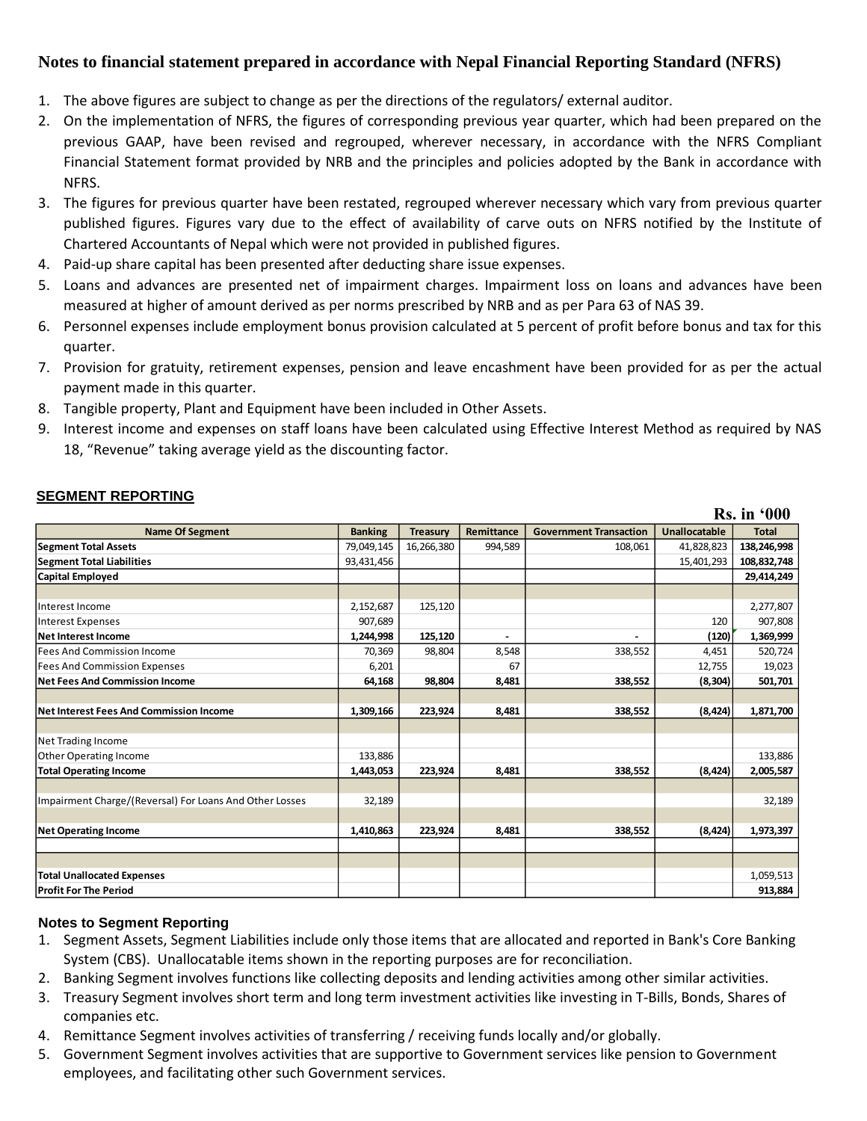## **Notes to financial statement prepared in accordance with Nepal Financial Reporting Standard (NFRS)**

- 1. The above figures are subject to change as per the directions of the regulators/ external auditor.
- 2. On the implementation of NFRS, the figures of corresponding previous year quarter, which had been prepared on the previous GAAP, have been revised and regrouped, wherever necessary, in accordance with the NFRS Compliant Financial Statement format provided by NRB and the principles and policies adopted by the Bank in accordance with NFRS.
- 3. The figures for previous quarter have been restated, regrouped wherever necessary which vary from previous quarter published figures. Figures vary due to the effect of availability of carve outs on NFRS notified by the Institute of Chartered Accountants of Nepal which were not provided in published figures.
- 4. Paid-up share capital has been presented after deducting share issue expenses.
- 5. Loans and advances are presented net of impairment charges. Impairment loss on loans and advances have been measured at higher of amount derived as per norms prescribed by NRB and as per Para 63 of NAS 39.
- 6. Personnel expenses include employment bonus provision calculated at 5 percent of profit before bonus and tax for this quarter.
- 7. Provision for gratuity, retirement expenses, pension and leave encashment have been provided for as per the actual payment made in this quarter.
- 8. Tangible property, Plant and Equipment have been included in Other Assets.
- 9. Interest income and expenses on staff loans have been calculated using Effective Interest Method as required by NAS 18, "Revenue" taking average yield as the discounting factor.

|                                                         |                |                 |            |                               |                      | <b>Rs.</b> in '000 |
|---------------------------------------------------------|----------------|-----------------|------------|-------------------------------|----------------------|--------------------|
| <b>Name Of Segment</b>                                  | <b>Banking</b> | <b>Treasury</b> | Remittance | <b>Government Transaction</b> | <b>Unallocatable</b> | <b>Total</b>       |
| <b>Segment Total Assets</b>                             | 79,049,145     | 16,266,380      | 994,589    | 108,061                       | 41,828,823           | 138,246,998        |
| <b>Segment Total Liabilities</b>                        | 93,431,456     |                 |            |                               | 15,401,293           | 108,832,748        |
| Capital Employed                                        |                |                 |            |                               |                      | 29,414,249         |
|                                                         |                |                 |            |                               |                      |                    |
| Interest Income                                         | 2,152,687      | 125,120         |            |                               |                      | 2,277,807          |
| Interest Expenses                                       | 907,689        |                 |            |                               | 120                  | 907,808            |
| Net Interest Income                                     | 1,244,998      | 125,120         |            |                               | (120)                | 1,369,999          |
| lFees And Commission Income                             | 70,369         | 98,804          | 8,548      | 338,552                       | 4,451                | 520,724            |
| <b>Fees And Commission Expenses</b>                     | 6,201          |                 | 67         |                               | 12,755               | 19,023             |
| <b>Net Fees And Commission Income</b>                   | 64,168         | 98.804          | 8.481      | 338,552                       | (8, 304)             | 501,701            |
|                                                         |                |                 |            |                               |                      |                    |
| Net Interest Fees And Commission Income                 | 1,309,166      | 223,924         | 8,481      | 338,552                       | (8, 424)             | 1,871,700          |
|                                                         |                |                 |            |                               |                      |                    |
| Net Trading Income                                      |                |                 |            |                               |                      |                    |
| Other Operating Income                                  | 133,886        |                 |            |                               |                      | 133,886            |
| <b>Total Operating Income</b>                           | 1,443,053      | 223,924         | 8,481      | 338,552                       | (8, 424)             | 2,005,587          |
|                                                         |                |                 |            |                               |                      |                    |
| Impairment Charge/(Reversal) For Loans And Other Losses | 32,189         |                 |            |                               |                      | 32,189             |
|                                                         |                |                 |            |                               |                      |                    |
| <b>Net Operating Income</b>                             | 1,410,863      | 223,924         | 8.481      | 338,552                       | (8, 424)             | 1,973,397          |
|                                                         |                |                 |            |                               |                      |                    |
|                                                         |                |                 |            |                               |                      |                    |
| <b>Total Unallocated Expenses</b>                       |                |                 |            |                               |                      | 1,059,513          |
| <b>Profit For The Period</b>                            |                |                 |            |                               |                      | 913,884            |

## **SEGMENT REPORTING**

### **Notes to Segment Reporting**

- 1. Segment Assets, Segment Liabilities include only those items that are allocated and reported in Bank's Core Banking System (CBS). Unallocatable items shown in the reporting purposes are for reconciliation.
- 2. Banking Segment involves functions like collecting deposits and lending activities among other similar activities.
- 3. Treasury Segment involves short term and long term investment activities like investing in T-Bills, Bonds, Shares of companies etc.
- 4. Remittance Segment involves activities of transferring / receiving funds locally and/or globally.
- 5. Government Segment involves activities that are supportive to Government services like pension to Government employees, and facilitating other such Government services.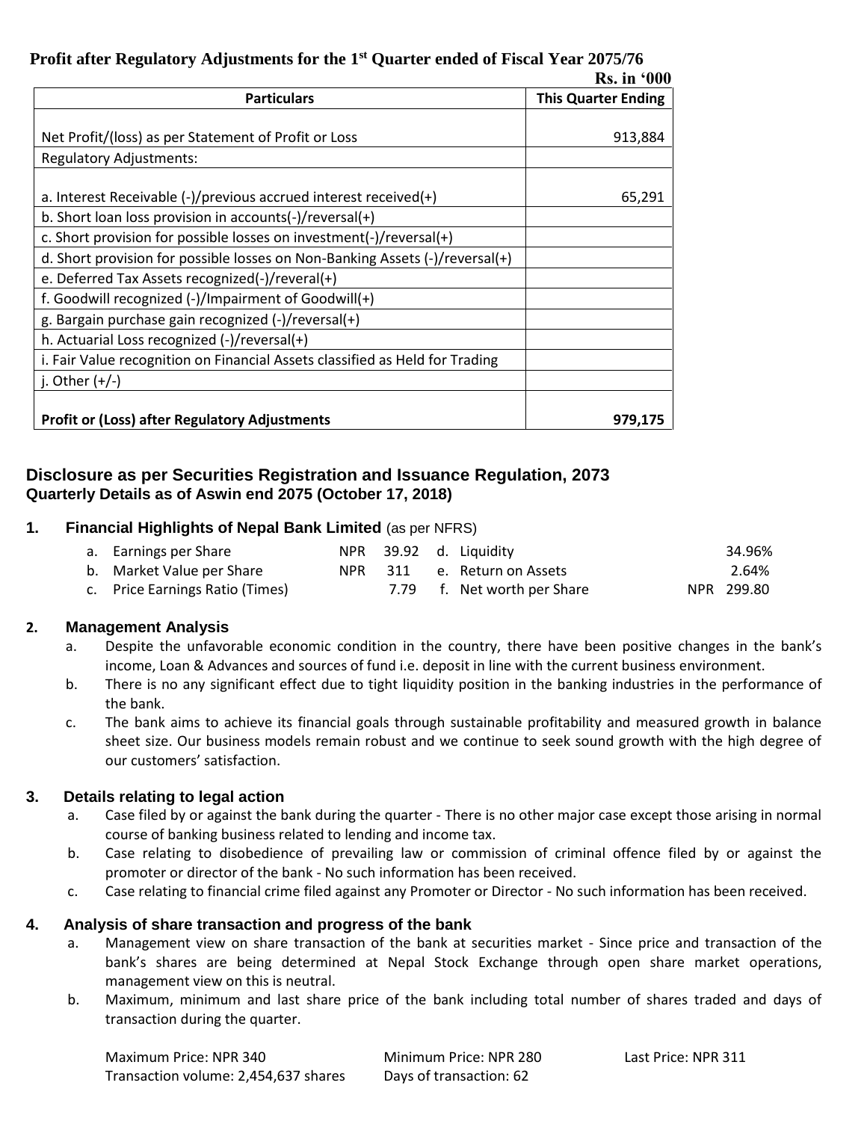# **Profit after Regulatory Adjustments for the 1st Quarter ended of Fiscal Year 2075/76**

|                                                                                                                 | <b>Rs.</b> in '000         |  |  |
|-----------------------------------------------------------------------------------------------------------------|----------------------------|--|--|
| <b>Particulars</b>                                                                                              | <b>This Quarter Ending</b> |  |  |
|                                                                                                                 |                            |  |  |
| Net Profit/(loss) as per Statement of Profit or Loss                                                            | 913,884                    |  |  |
| <b>Regulatory Adjustments:</b>                                                                                  |                            |  |  |
| a. Interest Receivable $\left(\frac{1}{2}\right)$ previous accrued interest received $\left(\frac{1}{2}\right)$ | 65,291                     |  |  |
| b. Short loan loss provision in accounts(-)/reversal(+)                                                         |                            |  |  |
| c. Short provision for possible losses on investment(-)/reversal(+)                                             |                            |  |  |
| d. Short provision for possible losses on Non-Banking Assets (-)/reversal(+)                                    |                            |  |  |
| e. Deferred Tax Assets recognized(-)/reveral(+)                                                                 |                            |  |  |
| f. Goodwill recognized (-)/Impairment of Goodwill(+)                                                            |                            |  |  |
| g. Bargain purchase gain recognized (-)/reversal(+)                                                             |                            |  |  |
| h. Actuarial Loss recognized $(-)/$ reversal $(+)$                                                              |                            |  |  |
| i. Fair Value recognition on Financial Assets classified as Held for Trading                                    |                            |  |  |
| j. Other $(+/-)$                                                                                                |                            |  |  |
| <b>Profit or (Loss) after Regulatory Adjustments</b>                                                            | 979.175                    |  |  |

## **Disclosure as per Securities Registration and Issuance Regulation, 2073 Quarterly Details as of Aswin end 2075 (October 17, 2018)**

## **1. Financial Highlights of Nepal Bank Limited** (as per NFRS)

| a. Earnings per Share           |  | NPR 39.92 d. Liquidity      | 34.96%     |
|---------------------------------|--|-----------------------------|------------|
| b. Market Value per Share       |  | NPR 311 e. Return on Assets | 2.64%      |
| c. Price Earnings Ratio (Times) |  | 7.79 f. Net worth per Share | NPR 299.80 |

### **2. Management Analysis**

- a. Despite the unfavorable economic condition in the country, there have been positive changes in the bank's income, Loan & Advances and sources of fund i.e. deposit in line with the current business environment.
- b. There is no any significant effect due to tight liquidity position in the banking industries in the performance of the bank.
- c. The bank aims to achieve its financial goals through sustainable profitability and measured growth in balance sheet size. Our business models remain robust and we continue to seek sound growth with the high degree of our customers' satisfaction.

### **3. Details relating to legal action**

- a. Case filed by or against the bank during the quarter There is no other major case except those arising in normal course of banking business related to lending and income tax.
- b. Case relating to disobedience of prevailing law or commission of criminal offence filed by or against the promoter or director of the bank - No such information has been received.
- c. Case relating to financial crime filed against any Promoter or Director No such information has been received.

### **4. Analysis of share transaction and progress of the bank**

- a. Management view on share transaction of the bank at securities market Since price and transaction of the bank's shares are being determined at Nepal Stock Exchange through open share market operations, management view on this is neutral.
- b. Maximum, minimum and last share price of the bank including total number of shares traded and days of transaction during the quarter.

Maximum Price: NPR 340 Minimum Price: NPR 280 Last Price: NPR 311 Transaction volume: 2,454,637 shares Days of transaction: 62